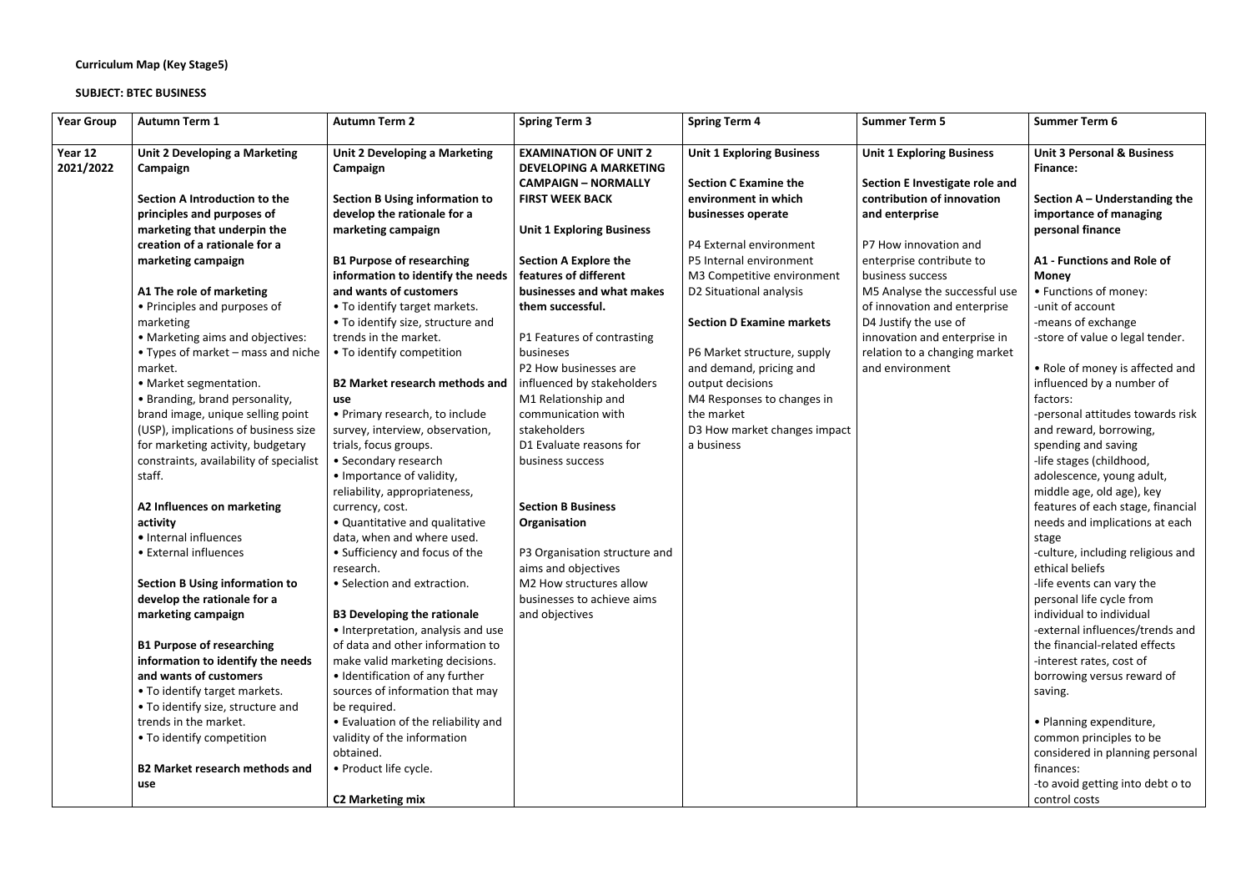## **Curriculum Map (Key Stage5)**

## **SUBJECT: BTEC BUSINESS**

| <b>Year Group</b>    | <b>Autumn Term 1</b>                                                         | <b>Autumn Term 2</b>                                                     | <b>Spring Term 3</b>                                          | <b>Spring Term 4</b>                                  | <b>Summer Term 5</b>                                         | <b>Summer Term 6</b>                                     |
|----------------------|------------------------------------------------------------------------------|--------------------------------------------------------------------------|---------------------------------------------------------------|-------------------------------------------------------|--------------------------------------------------------------|----------------------------------------------------------|
| Year 12<br>2021/2022 | Unit 2 Developing a Marketing<br>Campaign                                    | <b>Unit 2 Developing a Marketing</b><br>Campaign                         | <b>EXAMINATION OF UNIT 2</b><br><b>DEVELOPING A MARKETING</b> | <b>Unit 1 Exploring Business</b>                      | <b>Unit 1 Exploring Business</b>                             | <b>Unit 3 Personal &amp; Business</b><br><b>Finance:</b> |
|                      | Section A Introduction to the                                                | <b>Section B Using information to</b>                                    | <b>CAMPAIGN - NORMALLY</b><br><b>FIRST WEEK BACK</b>          | <b>Section C Examine the</b><br>environment in which  | Section E Investigate role and<br>contribution of innovation | Section $A -$ Understanding the                          |
|                      | principles and purposes of                                                   | develop the rationale for a                                              |                                                               | businesses operate                                    | and enterprise                                               | importance of managing                                   |
|                      | marketing that underpin the                                                  | marketing campaign                                                       | <b>Unit 1 Exploring Business</b>                              |                                                       |                                                              | personal finance                                         |
|                      | creation of a rationale for a                                                |                                                                          |                                                               | P4 External environment                               | P7 How innovation and                                        |                                                          |
|                      | marketing campaign                                                           | <b>B1 Purpose of researching</b><br>information to identify the needs    | <b>Section A Explore the</b><br>features of different         | P5 Internal environment<br>M3 Competitive environment | enterprise contribute to<br>business success                 | A1 - Functions and Role of                               |
|                      | A1 The role of marketing                                                     | and wants of customers                                                   | businesses and what makes                                     | D2 Situational analysis                               | M5 Analyse the successful use                                | <b>Money</b><br>• Functions of money:                    |
|                      | • Principles and purposes of                                                 | • To identify target markets.                                            | them successful.                                              |                                                       | of innovation and enterprise                                 | -unit of account                                         |
|                      | marketing                                                                    | • To identify size, structure and                                        |                                                               | <b>Section D Examine markets</b>                      | D4 Justify the use of                                        | -means of exchange                                       |
|                      | • Marketing aims and objectives:                                             | trends in the market.                                                    | P1 Features of contrasting                                    |                                                       | innovation and enterprise in                                 | -store of value o legal tender.                          |
|                      | • Types of market – mass and niche                                           | • To identify competition                                                | busineses                                                     | P6 Market structure, supply                           | relation to a changing market                                |                                                          |
|                      | market.                                                                      |                                                                          | P2 How businesses are                                         | and demand, pricing and                               | and environment                                              | • Role of money is affected and                          |
|                      | • Market segmentation.                                                       | <b>B2 Market research methods and</b>                                    | influenced by stakeholders                                    | output decisions                                      |                                                              | influenced by a number of                                |
|                      | • Branding, brand personality,                                               | use                                                                      | M1 Relationship and                                           | M4 Responses to changes in                            |                                                              | factors:                                                 |
|                      | brand image, unique selling point                                            | • Primary research, to include                                           | communication with                                            | the market                                            |                                                              | -personal attitudes towards risk                         |
|                      | (USP), implications of business size                                         | survey, interview, observation,                                          | stakeholders                                                  | D3 How market changes impact                          |                                                              | and reward, borrowing,                                   |
|                      | for marketing activity, budgetary<br>constraints, availability of specialist | trials, focus groups.<br>• Secondary research                            | D1 Evaluate reasons for<br>business success                   | a business                                            |                                                              | spending and saving<br>-life stages (childhood,          |
|                      | staff.                                                                       | • Importance of validity,                                                |                                                               |                                                       |                                                              | adolescence, young adult,                                |
|                      |                                                                              | reliability, appropriateness,                                            |                                                               |                                                       |                                                              | middle age, old age), key                                |
|                      | A2 Influences on marketing                                                   | currency, cost.                                                          | <b>Section B Business</b>                                     |                                                       |                                                              | features of each stage, financial                        |
|                      | activity                                                                     | • Quantitative and qualitative                                           | Organisation                                                  |                                                       |                                                              | needs and implications at each                           |
|                      | • Internal influences                                                        | data, when and where used.                                               |                                                               |                                                       |                                                              | stage                                                    |
|                      | • External influences                                                        | • Sufficiency and focus of the                                           | P3 Organisation structure and                                 |                                                       |                                                              | -culture, including religious and                        |
|                      |                                                                              | research.                                                                | aims and objectives                                           |                                                       |                                                              | ethical beliefs                                          |
|                      | <b>Section B Using information to</b>                                        | • Selection and extraction.                                              | M2 How structures allow                                       |                                                       |                                                              | -life events can vary the                                |
|                      | develop the rationale for a                                                  |                                                                          | businesses to achieve aims                                    |                                                       |                                                              | personal life cycle from<br>individual to individual     |
|                      | marketing campaign                                                           | <b>B3 Developing the rationale</b><br>• Interpretation, analysis and use | and objectives                                                |                                                       |                                                              | -external influences/trends and                          |
|                      | <b>B1 Purpose of researching</b>                                             | of data and other information to                                         |                                                               |                                                       |                                                              | the financial-related effects                            |
|                      | information to identify the needs                                            | make valid marketing decisions.                                          |                                                               |                                                       |                                                              | -interest rates, cost of                                 |
|                      | and wants of customers                                                       | • Identification of any further                                          |                                                               |                                                       |                                                              | borrowing versus reward of                               |
|                      | • To identify target markets.                                                | sources of information that may                                          |                                                               |                                                       |                                                              | saving.                                                  |
|                      | • To identify size, structure and                                            | be required.                                                             |                                                               |                                                       |                                                              |                                                          |
|                      | trends in the market.                                                        | • Evaluation of the reliability and                                      |                                                               |                                                       |                                                              | • Planning expenditure,                                  |
|                      | • To identify competition                                                    | validity of the information                                              |                                                               |                                                       |                                                              | common principles to be                                  |
|                      |                                                                              | obtained.                                                                |                                                               |                                                       |                                                              | considered in planning personal                          |
|                      | <b>B2 Market research methods and</b>                                        | · Product life cycle.                                                    |                                                               |                                                       |                                                              | finances:                                                |
|                      | use                                                                          |                                                                          |                                                               |                                                       |                                                              | -to avoid getting into debt o to                         |
|                      |                                                                              | <b>C2 Marketing mix</b>                                                  |                                                               |                                                       |                                                              | control costs                                            |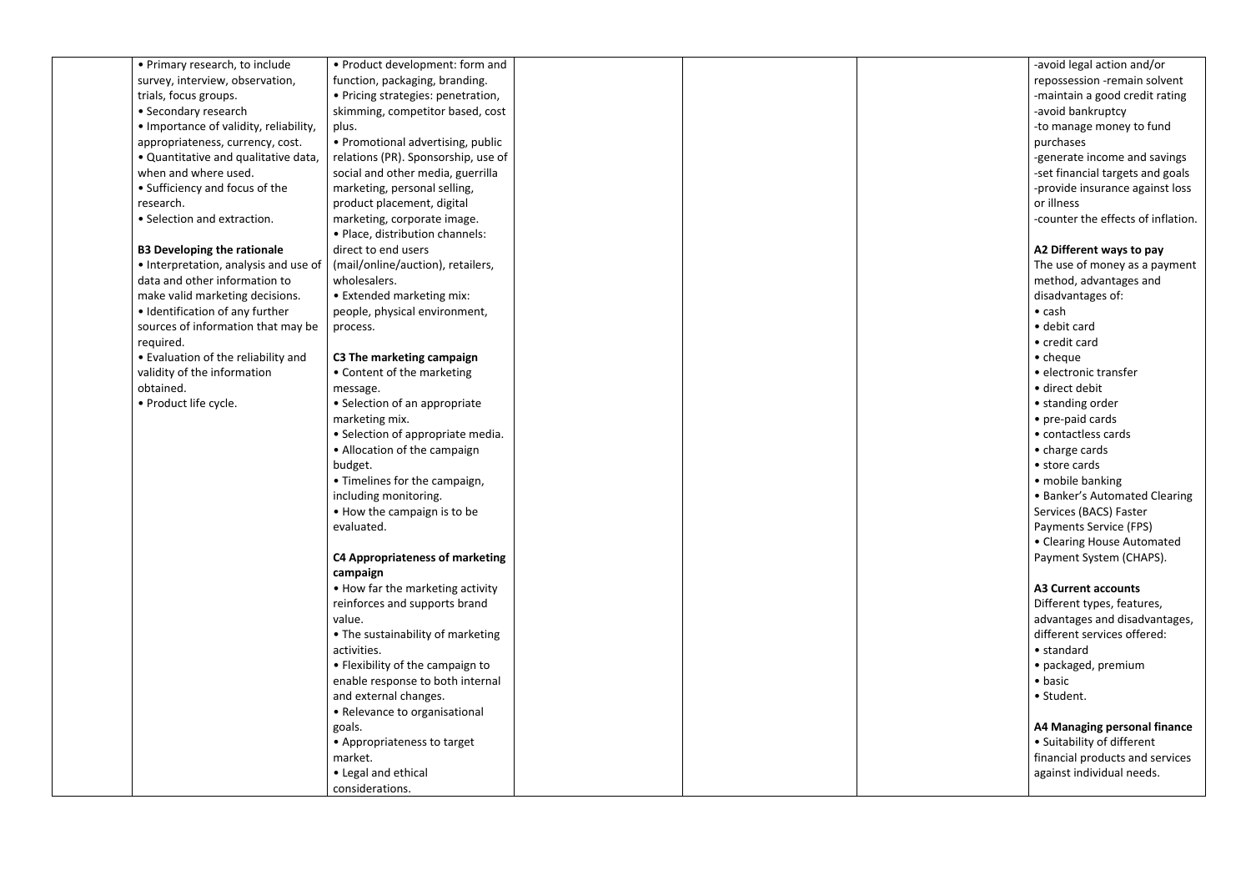| • Primary research, to include         | • Product development: form and        |  |  |
|----------------------------------------|----------------------------------------|--|--|
| survey, interview, observation,        | function, packaging, branding.         |  |  |
| trials, focus groups.                  | • Pricing strategies: penetration,     |  |  |
| • Secondary research                   | skimming, competitor based, cost       |  |  |
| • Importance of validity, reliability, | plus.                                  |  |  |
| appropriateness, currency, cost.       | • Promotional advertising, public      |  |  |
| . Quantitative and qualitative data,   | relations (PR). Sponsorship, use of    |  |  |
| when and where used.                   | social and other media, guerrilla      |  |  |
| • Sufficiency and focus of the         | marketing, personal selling,           |  |  |
| research.                              | product placement, digital             |  |  |
| • Selection and extraction.            | marketing, corporate image.            |  |  |
|                                        | · Place, distribution channels:        |  |  |
| <b>B3 Developing the rationale</b>     | direct to end users                    |  |  |
| • Interpretation, analysis and use of  | (mail/online/auction), retailers,      |  |  |
| data and other information to          | wholesalers.                           |  |  |
| make valid marketing decisions.        | • Extended marketing mix:              |  |  |
| • Identification of any further        | people, physical environment,          |  |  |
| sources of information that may be     | process.                               |  |  |
| required.                              |                                        |  |  |
| • Evaluation of the reliability and    | C3 The marketing campaign              |  |  |
| validity of the information            | • Content of the marketing             |  |  |
| obtained.                              | message.                               |  |  |
| · Product life cycle.                  | • Selection of an appropriate          |  |  |
|                                        | marketing mix.                         |  |  |
|                                        | • Selection of appropriate media.      |  |  |
|                                        | • Allocation of the campaign           |  |  |
|                                        | budget.                                |  |  |
|                                        | • Timelines for the campaign,          |  |  |
|                                        | including monitoring.                  |  |  |
|                                        | • How the campaign is to be            |  |  |
|                                        | evaluated.                             |  |  |
|                                        |                                        |  |  |
|                                        | <b>C4 Appropriateness of marketing</b> |  |  |
|                                        | campaign                               |  |  |
|                                        | • How far the marketing activity       |  |  |
|                                        | reinforces and supports brand          |  |  |
|                                        | value.                                 |  |  |
|                                        | • The sustainability of marketing      |  |  |
|                                        | activities.                            |  |  |
|                                        | • Flexibility of the campaign to       |  |  |
|                                        | enable response to both internal       |  |  |
|                                        | and external changes.                  |  |  |
|                                        | • Relevance to organisational          |  |  |
|                                        | goals.                                 |  |  |
|                                        | • Appropriateness to target            |  |  |
|                                        | market.                                |  |  |
|                                        | • Legal and ethical                    |  |  |
|                                        | considerations.                        |  |  |

| -avoid legal action and/or          |
|-------------------------------------|
| repossession -remain solvent        |
| -maintain a good credit rating      |
| -avoid bankruptcy                   |
| -to manage money to fund            |
| purchases                           |
| -generate income and savings        |
|                                     |
| -set financial targets and goals    |
| -provide insurance against loss     |
| or illness                          |
| -counter the effects of inflation.  |
| A2 Different ways to pay            |
| The use of money as a payment       |
| method, advantages and              |
| disadvantages of:                   |
| $\bullet$ cash                      |
| • debit card                        |
|                                     |
| • credit card                       |
| • cheque                            |
| · electronic transfer               |
| · direct debit                      |
| • standing order                    |
| • pre-paid cards                    |
| • contactless cards                 |
| • charge cards                      |
| • store cards                       |
| • mobile banking                    |
| • Banker's Automated Clearing       |
| Services (BACS) Faster              |
| Payments Service (FPS)              |
| • Clearing House Automated          |
|                                     |
| Payment System (CHAPS).             |
| <b>A3 Current accounts</b>          |
| Different types, features,          |
| advantages and disadvantages,       |
| different services offered:         |
| • standard                          |
|                                     |
| • packaged, premium                 |
| • basic                             |
| · Student.                          |
| <b>A4 Managing personal finance</b> |
| • Suitability of different          |
| financial products and services     |
| against individual needs.           |
|                                     |
|                                     |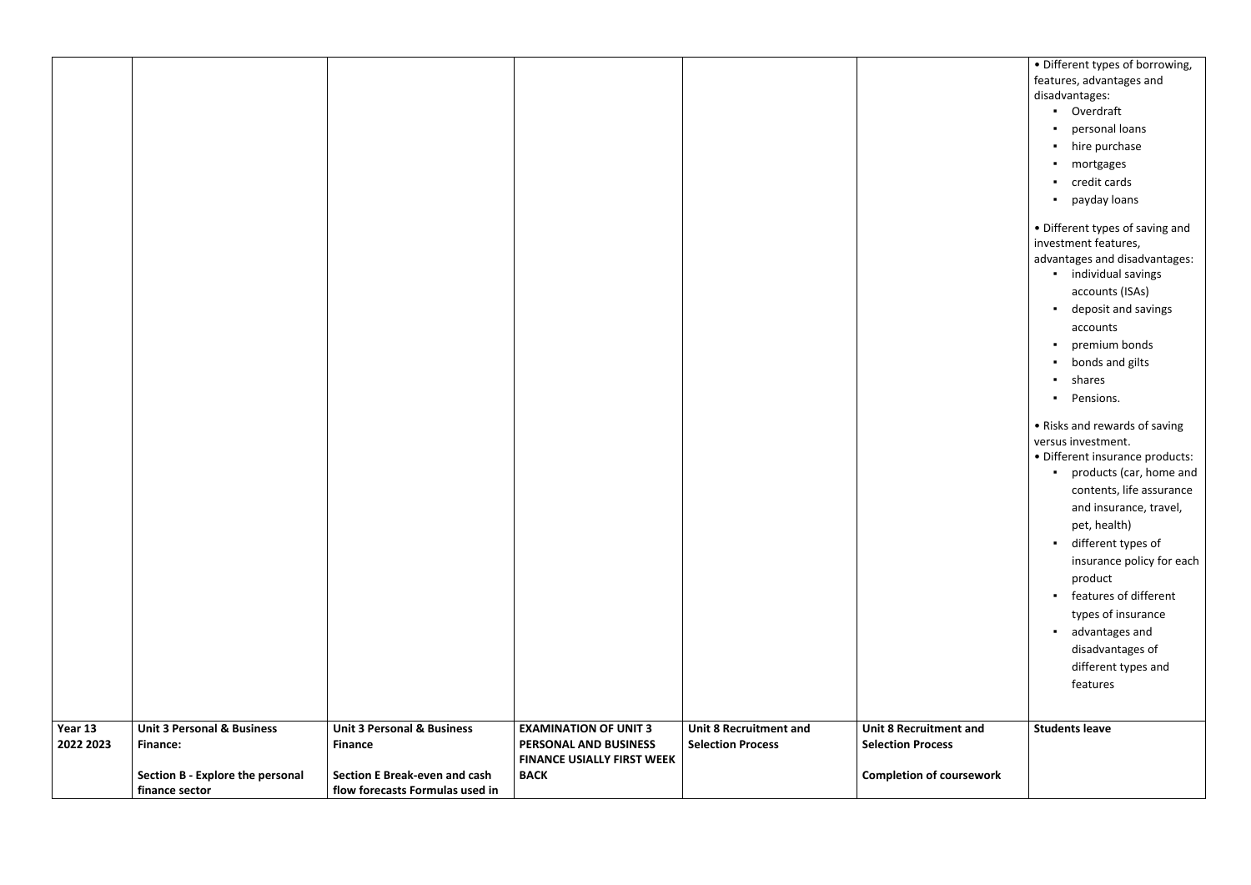|                     | · Different types of borrowing,                                                                                                                                                                                                                                                                                                                                               |
|---------------------|-------------------------------------------------------------------------------------------------------------------------------------------------------------------------------------------------------------------------------------------------------------------------------------------------------------------------------------------------------------------------------|
|                     | features, advantages and                                                                                                                                                                                                                                                                                                                                                      |
|                     | disadvantages:                                                                                                                                                                                                                                                                                                                                                                |
|                     | Overdraft                                                                                                                                                                                                                                                                                                                                                                     |
|                     | personal loans                                                                                                                                                                                                                                                                                                                                                                |
|                     | hire purchase                                                                                                                                                                                                                                                                                                                                                                 |
|                     | mortgages                                                                                                                                                                                                                                                                                                                                                                     |
|                     | credit cards                                                                                                                                                                                                                                                                                                                                                                  |
|                     | payday loans                                                                                                                                                                                                                                                                                                                                                                  |
|                     | • Different types of saving and<br>investment features,<br>advantages and disadvantages:                                                                                                                                                                                                                                                                                      |
|                     | individual savings                                                                                                                                                                                                                                                                                                                                                            |
|                     | accounts (ISAs)                                                                                                                                                                                                                                                                                                                                                               |
|                     | deposit and savings                                                                                                                                                                                                                                                                                                                                                           |
|                     | accounts                                                                                                                                                                                                                                                                                                                                                                      |
|                     | premium bonds                                                                                                                                                                                                                                                                                                                                                                 |
|                     | bonds and gilts                                                                                                                                                                                                                                                                                                                                                               |
|                     | shares                                                                                                                                                                                                                                                                                                                                                                        |
|                     | Pensions.                                                                                                                                                                                                                                                                                                                                                                     |
|                     | • Risks and rewards of saving<br>versus investment.<br>· Different insurance products:<br>products (car, home and<br>contents, life assurance<br>and insurance, travel,<br>pet, health)<br>different types of<br>insurance policy for each<br>product<br>features of different<br>types of insurance<br>advantages and<br>disadvantages of<br>different types and<br>features |
| itment and<br>ວcess | <b>Students leave</b>                                                                                                                                                                                                                                                                                                                                                         |
|                     |                                                                                                                                                                                                                                                                                                                                                                               |
| of coursework       |                                                                                                                                                                                                                                                                                                                                                                               |

| Year 13   | <b>Unit 3 Personal &amp; Business</b>              | <b>Unit 3 Personal &amp; Business</b>                                   | <b>EXAMINATION OF UNIT 3</b>                               | <b>Unit 8 Recruitment and</b> | <b>Unit 8 Recruitmer</b> |
|-----------|----------------------------------------------------|-------------------------------------------------------------------------|------------------------------------------------------------|-------------------------------|--------------------------|
| 2022 2023 | <b>Finance:</b>                                    | <b>Finance</b>                                                          | PERSONAL AND BUSINESS<br><b>FINANCE USIALLY FIRST WEEK</b> | <b>Selection Process</b>      | <b>Selection Process</b> |
|           | Section B - Explore the personal<br>finance sector | <b>Section E Break-even and cash</b><br>flow forecasts Formulas used in | <b>BACK</b>                                                |                               | <b>Completion of cou</b> |
|           |                                                    |                                                                         |                                                            |                               |                          |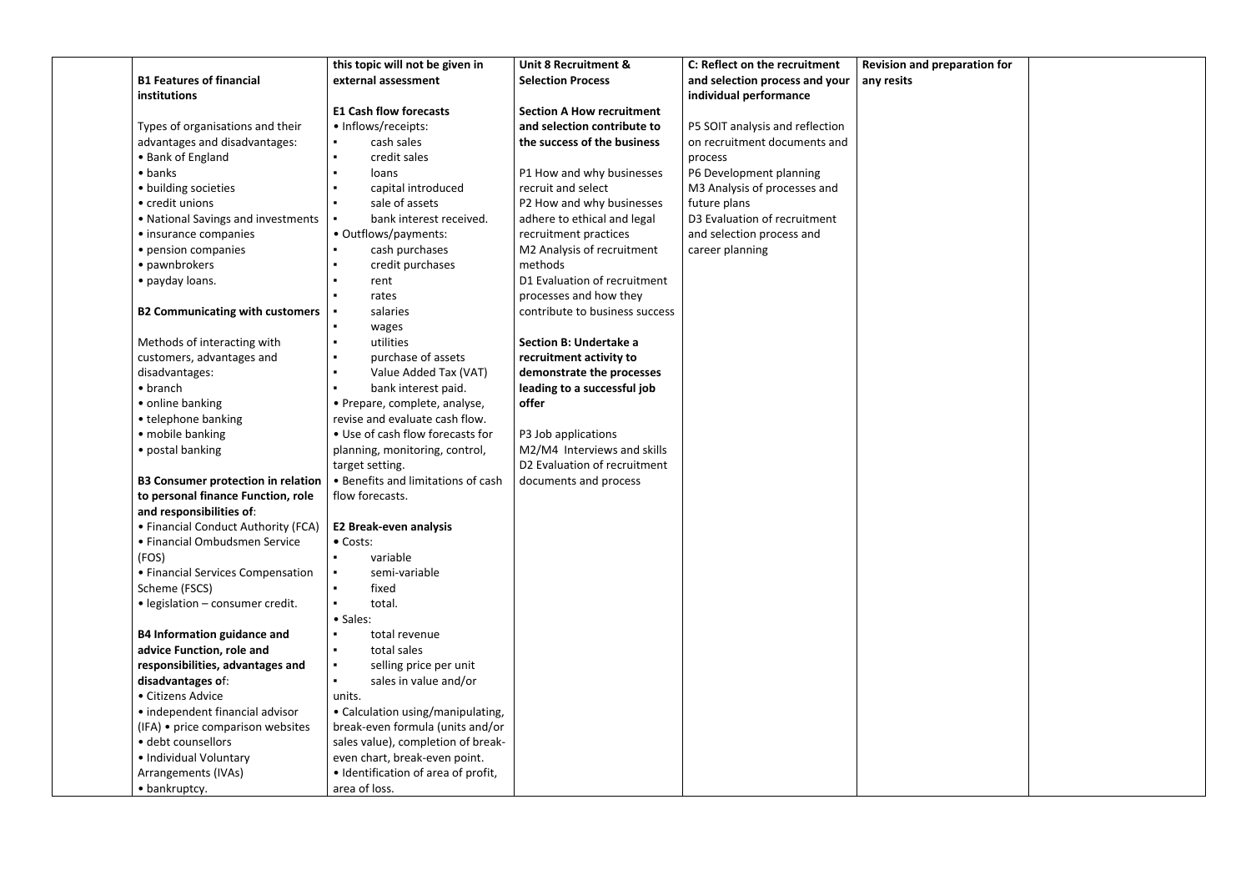|                                                              | this topic will not be given in         | <b>Unit 8 Recruitment &amp;</b>  | C: Reflect on the recruitment   | <b>Revision and preparation for</b> |  |
|--------------------------------------------------------------|-----------------------------------------|----------------------------------|---------------------------------|-------------------------------------|--|
| <b>B1 Features of financial</b>                              | external assessment                     | <b>Selection Process</b>         | and selection process and your  | any resits                          |  |
| institutions                                                 |                                         |                                  | individual performance          |                                     |  |
|                                                              | <b>E1 Cash flow forecasts</b>           | <b>Section A How recruitment</b> |                                 |                                     |  |
| Types of organisations and their                             | • Inflows/receipts:                     | and selection contribute to      | P5 SOIT analysis and reflection |                                     |  |
| advantages and disadvantages:                                | cash sales                              | the success of the business      | on recruitment documents and    |                                     |  |
| • Bank of England                                            | credit sales<br>$\blacksquare$          |                                  | process                         |                                     |  |
| $\bullet$ banks                                              | loans<br>$\blacksquare$                 | P1 How and why businesses        | P6 Development planning         |                                     |  |
| • building societies                                         | capital introduced                      | recruit and select               | M3 Analysis of processes and    |                                     |  |
| • credit unions                                              | sale of assets                          | P2 How and why businesses        | future plans                    |                                     |  |
| • National Savings and investments                           | bank interest received.                 | adhere to ethical and legal      | D3 Evaluation of recruitment    |                                     |  |
| • insurance companies                                        | • Outflows/payments:                    | recruitment practices            | and selection process and       |                                     |  |
| • pension companies                                          | cash purchases                          | M2 Analysis of recruitment       | career planning                 |                                     |  |
| • pawnbrokers                                                | credit purchases                        | methods                          |                                 |                                     |  |
| • payday loans.                                              | rent                                    | D1 Evaluation of recruitment     |                                 |                                     |  |
|                                                              | rates                                   | processes and how they           |                                 |                                     |  |
| <b>B2 Communicating with customers</b>                       | salaries                                | contribute to business success   |                                 |                                     |  |
|                                                              | wages                                   |                                  |                                 |                                     |  |
| Methods of interacting with                                  | utilities<br>$\blacksquare$             | Section B: Undertake a           |                                 |                                     |  |
| customers, advantages and                                    | purchase of assets<br>$\blacksquare$    | recruitment activity to          |                                 |                                     |  |
| disadvantages:                                               | Value Added Tax (VAT)<br>$\blacksquare$ | demonstrate the processes        |                                 |                                     |  |
| $\bullet$ branch                                             | bank interest paid.                     | leading to a successful job      |                                 |                                     |  |
| • online banking                                             | • Prepare, complete, analyse,           | offer                            |                                 |                                     |  |
| • telephone banking                                          | revise and evaluate cash flow.          |                                  |                                 |                                     |  |
| • mobile banking                                             | • Use of cash flow forecasts for        | P3 Job applications              |                                 |                                     |  |
| • postal banking                                             | planning, monitoring, control,          | M2/M4 Interviews and skills      |                                 |                                     |  |
|                                                              | target setting.                         | D2 Evaluation of recruitment     |                                 |                                     |  |
| <b>B3 Consumer protection in relation</b>                    | • Benefits and limitations of cash      | documents and process            |                                 |                                     |  |
| to personal finance Function, role                           | flow forecasts.                         |                                  |                                 |                                     |  |
| and responsibilities of:                                     |                                         |                                  |                                 |                                     |  |
| • Financial Conduct Authority (FCA)   E2 Break-even analysis |                                         |                                  |                                 |                                     |  |
| • Financial Ombudsmen Service                                | • Costs:                                |                                  |                                 |                                     |  |
| (FOS)                                                        | variable                                |                                  |                                 |                                     |  |
| • Financial Services Compensation                            | semi-variable                           |                                  |                                 |                                     |  |
| Scheme (FSCS)                                                | fixed                                   |                                  |                                 |                                     |  |
| • legislation - consumer credit.                             | total.                                  |                                  |                                 |                                     |  |
|                                                              | • Sales:                                |                                  |                                 |                                     |  |
| <b>B4 Information guidance and</b>                           | total revenue                           |                                  |                                 |                                     |  |
| advice Function, role and                                    | total sales                             |                                  |                                 |                                     |  |
| responsibilities, advantages and                             | selling price per unit                  |                                  |                                 |                                     |  |
| disadvantages of:                                            | sales in value and/or                   |                                  |                                 |                                     |  |
| • Citizens Advice                                            | units.                                  |                                  |                                 |                                     |  |
| • independent financial advisor                              | • Calculation using/manipulating,       |                                  |                                 |                                     |  |
| (IFA) • price comparison websites                            | break-even formula (units and/or        |                                  |                                 |                                     |  |
| · debt counsellors                                           | sales value), completion of break-      |                                  |                                 |                                     |  |
| • Individual Voluntary                                       | even chart, break-even point.           |                                  |                                 |                                     |  |
| Arrangements (IVAs)                                          | · Identification of area of profit,     |                                  |                                 |                                     |  |
| • bankruptcy.                                                | area of loss.                           |                                  |                                 |                                     |  |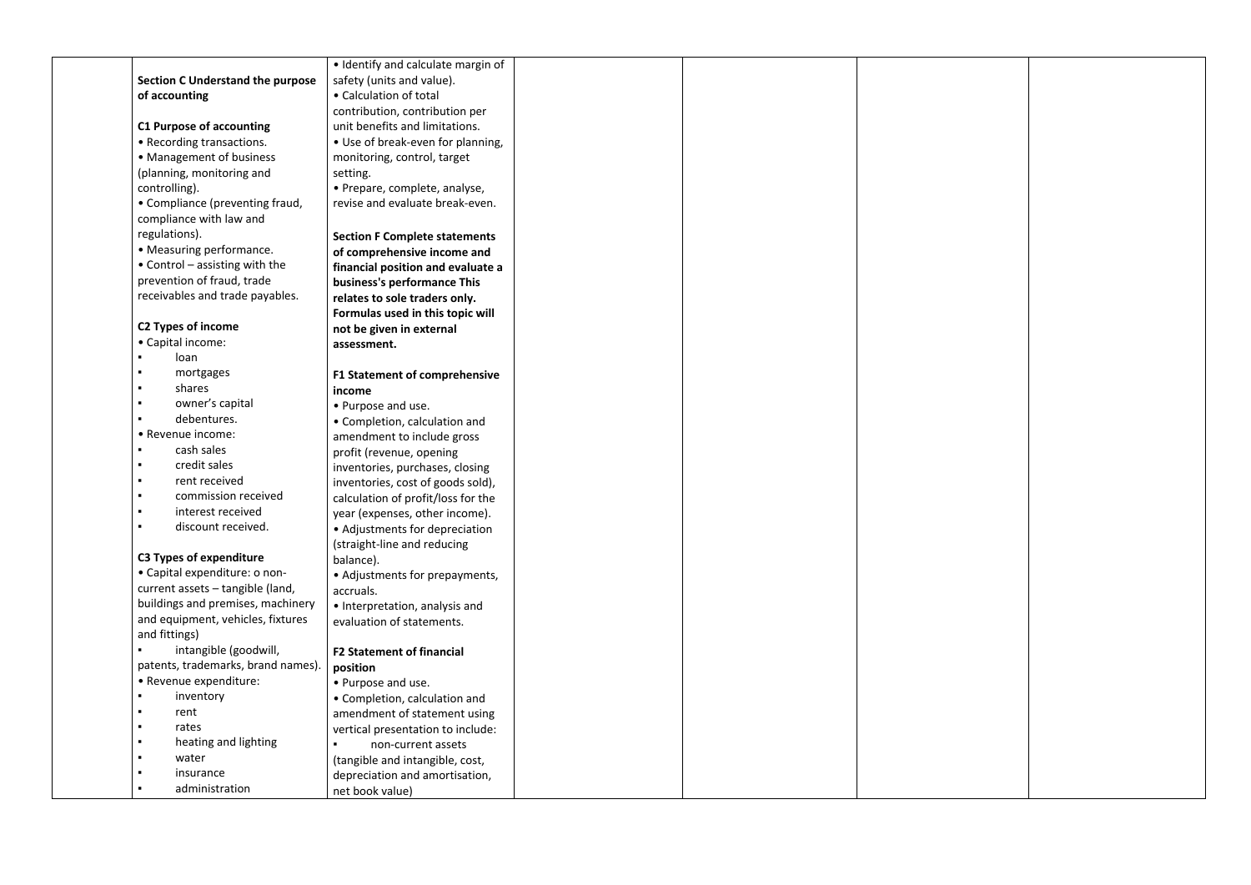|                                         | • Identify and calculate margin of   |  |  |
|-----------------------------------------|--------------------------------------|--|--|
| <b>Section C Understand the purpose</b> | safety (units and value).            |  |  |
| of accounting                           | • Calculation of total               |  |  |
|                                         | contribution, contribution per       |  |  |
| <b>C1 Purpose of accounting</b>         | unit benefits and limitations.       |  |  |
| • Recording transactions.               | • Use of break-even for planning,    |  |  |
| • Management of business                | monitoring, control, target          |  |  |
| (planning, monitoring and               | setting.                             |  |  |
| controlling).                           | • Prepare, complete, analyse,        |  |  |
| • Compliance (preventing fraud,         | revise and evaluate break-even.      |  |  |
| compliance with law and                 |                                      |  |  |
| regulations).                           | <b>Section F Complete statements</b> |  |  |
| • Measuring performance.                | of comprehensive income and          |  |  |
| $\bullet$ Control – assisting with the  | financial position and evaluate a    |  |  |
| prevention of fraud, trade              | business's performance This          |  |  |
| receivables and trade payables.         | relates to sole traders only.        |  |  |
|                                         | Formulas used in this topic will     |  |  |
| <b>C2 Types of income</b>               | not be given in external             |  |  |
| • Capital income:                       | assessment.                          |  |  |
| loan                                    |                                      |  |  |
| mortgages<br>п                          | <b>F1 Statement of comprehensive</b> |  |  |
| shares<br>$\blacksquare$                | income                               |  |  |
| owner's capital<br>×                    | • Purpose and use.                   |  |  |
| debentures.<br>$\blacksquare$           | • Completion, calculation and        |  |  |
| • Revenue income:                       | amendment to include gross           |  |  |
| cash sales<br>$\blacksquare$            | profit (revenue, opening             |  |  |
| credit sales<br>$\blacksquare$          | inventories, purchases, closing      |  |  |
| rent received<br>$\blacksquare$         | inventories, cost of goods sold),    |  |  |
| commission received<br>$\blacksquare$   | calculation of profit/loss for the   |  |  |
| interest received<br>$\blacksquare$     | year (expenses, other income).       |  |  |
| discount received.                      | • Adjustments for depreciation       |  |  |
|                                         | (straight-line and reducing          |  |  |
| <b>C3 Types of expenditure</b>          | balance).                            |  |  |
| • Capital expenditure: o non-           | • Adjustments for prepayments,       |  |  |
| current assets - tangible (land,        | accruals.                            |  |  |
| buildings and premises, machinery       | · Interpretation, analysis and       |  |  |
| and equipment, vehicles, fixtures       | evaluation of statements.            |  |  |
| and fittings)                           |                                      |  |  |
| intangible (goodwill,                   | <b>F2 Statement of financial</b>     |  |  |
| patents, trademarks, brand names).      | position                             |  |  |
| • Revenue expenditure:                  | • Purpose and use.                   |  |  |
| inventory                               | • Completion, calculation and        |  |  |
| rent<br>×                               | amendment of statement using         |  |  |
| rates                                   | vertical presentation to include:    |  |  |
| heating and lighting<br>×               | non-current assets                   |  |  |
| water<br>$\blacksquare$                 | (tangible and intangible, cost,      |  |  |
| insurance<br>$\blacksquare$             | depreciation and amortisation,       |  |  |
| administration<br>$\blacksquare$        | net book value)                      |  |  |

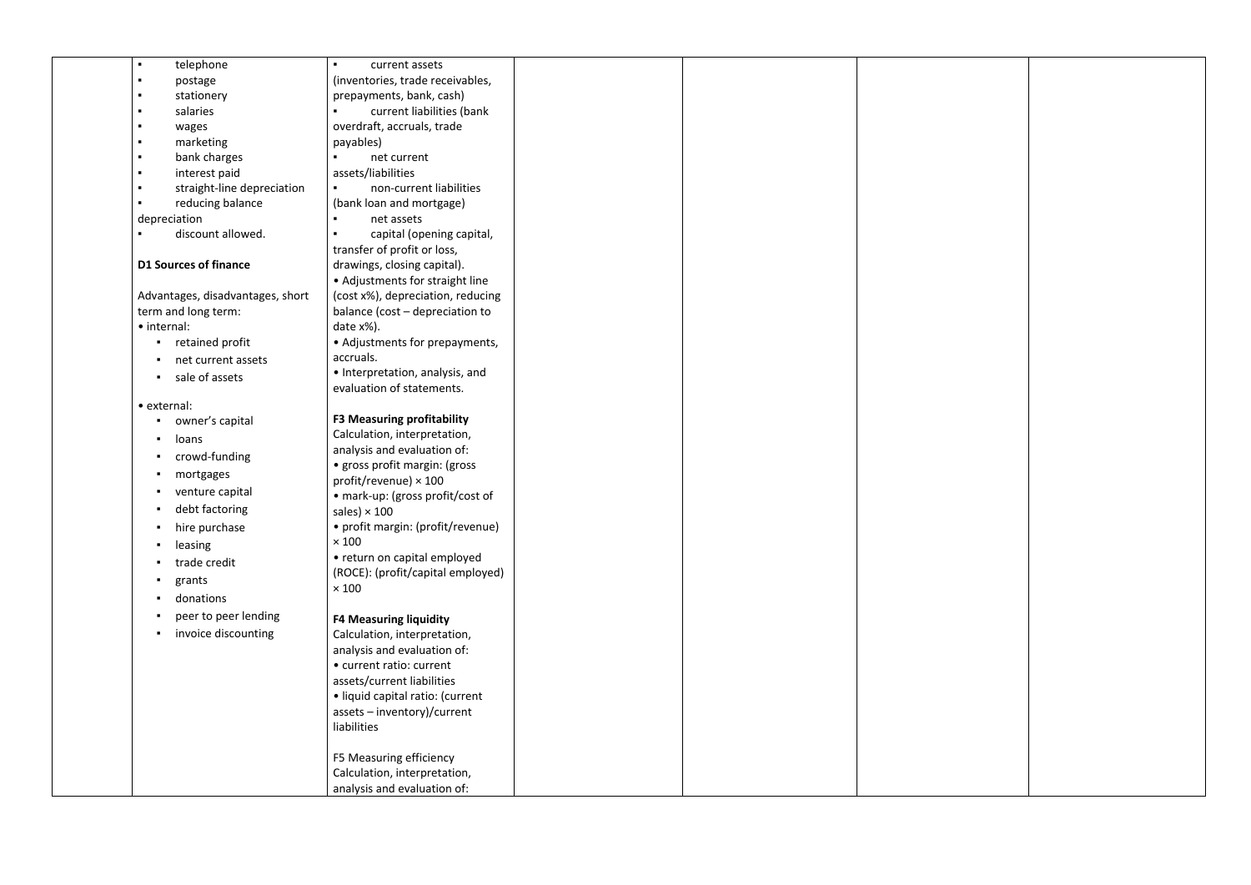| telephone<br>$\blacksquare$           | current assets                                                     |  |  |
|---------------------------------------|--------------------------------------------------------------------|--|--|
| postage<br>٠                          | (inventories, trade receivables,                                   |  |  |
| stationery<br>٠                       | prepayments, bank, cash)                                           |  |  |
| salaries<br>$\blacksquare$            | current liabilities (bank<br>٠                                     |  |  |
| wages<br>٠                            | overdraft, accruals, trade                                         |  |  |
| marketing<br>$\blacksquare$           | payables)                                                          |  |  |
| bank charges<br>٠                     | net current                                                        |  |  |
| interest paid<br>$\blacksquare$       | assets/liabilities                                                 |  |  |
| straight-line depreciation<br>٠       | non-current liabilities<br>$\blacksquare$                          |  |  |
| reducing balance<br>٠                 | (bank loan and mortgage)                                           |  |  |
| depreciation                          | net assets                                                         |  |  |
| discount allowed.<br>٠                | capital (opening capital,                                          |  |  |
|                                       | transfer of profit or loss,                                        |  |  |
| <b>D1 Sources of finance</b>          | drawings, closing capital).                                        |  |  |
|                                       | • Adjustments for straight line                                    |  |  |
| Advantages, disadvantages, short      | (cost x%), depreciation, reducing                                  |  |  |
| term and long term:                   | balance (cost - depreciation to                                    |  |  |
| • internal:                           | date x%).                                                          |  |  |
| retained profit<br>$\blacksquare$     | • Adjustments for prepayments,                                     |  |  |
| net current assets                    | accruals.                                                          |  |  |
| sale of assets<br>$\blacksquare$ .    | • Interpretation, analysis, and                                    |  |  |
|                                       | evaluation of statements.                                          |  |  |
| • external:                           |                                                                    |  |  |
| owner's capital<br>$\blacksquare$     | <b>F3 Measuring profitability</b>                                  |  |  |
| loans<br>$\blacksquare$               | Calculation, interpretation,                                       |  |  |
| crowd-funding<br>$\mathbf{H}$         | analysis and evaluation of:                                        |  |  |
| mortgages<br>п                        | · gross profit margin: (gross                                      |  |  |
|                                       | profit/revenue) $\times$ 100                                       |  |  |
| venture capital<br>л.                 | • mark-up: (gross profit/cost of                                   |  |  |
| debt factoring<br>$\blacksquare$      | sales) $\times$ 100                                                |  |  |
| hire purchase                         | • profit margin: (profit/revenue)                                  |  |  |
| leasing                               | $\times$ 100                                                       |  |  |
| trade credit                          | • return on capital employed                                       |  |  |
| grants                                | (ROCE): (profit/capital employed)                                  |  |  |
| donations<br>$\blacksquare$           | $\times$ 100                                                       |  |  |
| peer to peer lending                  |                                                                    |  |  |
|                                       | <b>F4 Measuring liquidity</b>                                      |  |  |
| invoice discounting<br>$\blacksquare$ | Calculation, interpretation,                                       |  |  |
|                                       | analysis and evaluation of:<br>· current ratio: current            |  |  |
|                                       |                                                                    |  |  |
|                                       | assets/current liabilities                                         |  |  |
|                                       | · liquid capital ratio: (current<br>$asserts - inventory)/current$ |  |  |
|                                       | liabilities                                                        |  |  |
|                                       |                                                                    |  |  |
|                                       | F5 Measuring efficiency                                            |  |  |
|                                       | Calculation, interpretation,                                       |  |  |
|                                       |                                                                    |  |  |
|                                       | analysis and evaluation of:                                        |  |  |

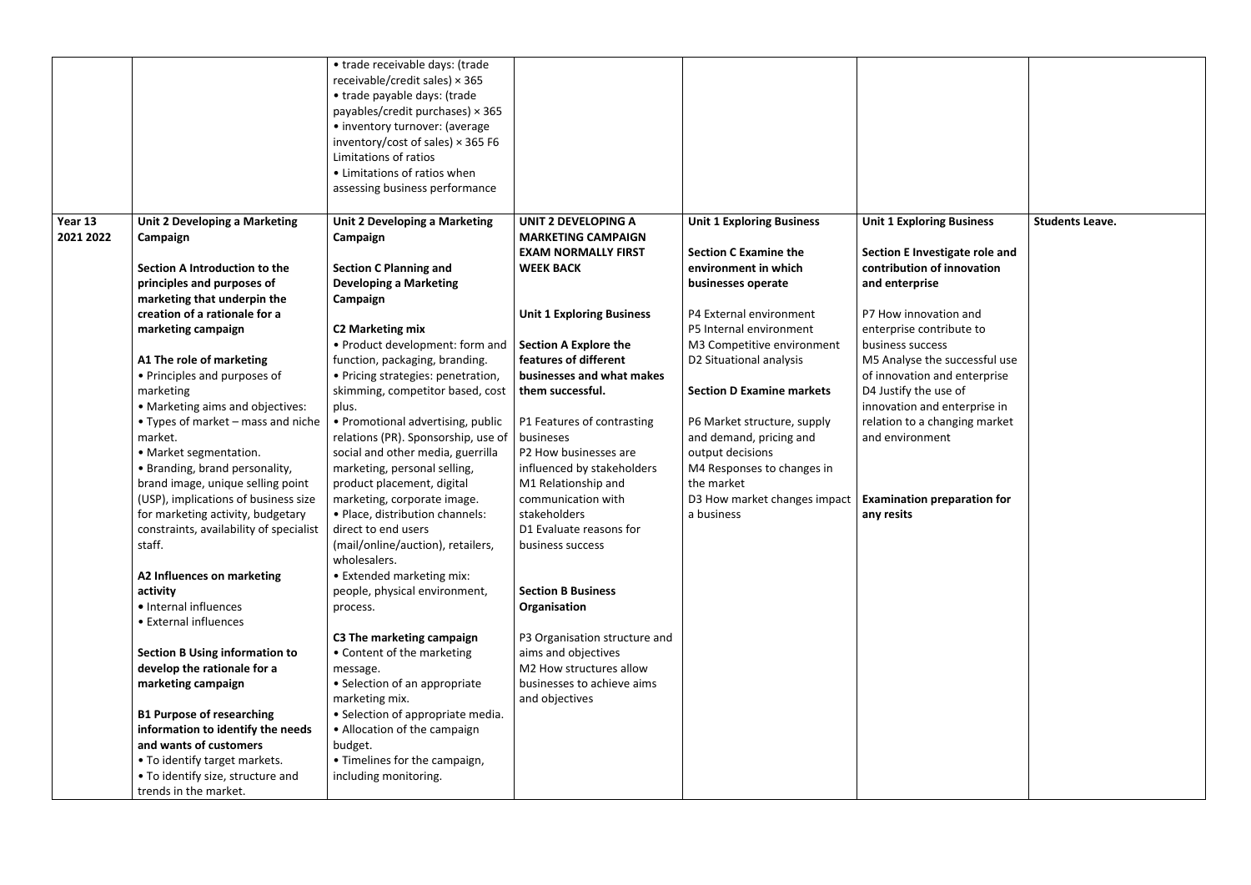|                      |                                                                                                                                                                                                                                                                                                                                                                                                                                                                                                                                                                                                                                                                                                                                                                                                                                                                                                                                 | • trade receivable days: (trade<br>receivable/credit sales) × 365<br>• trade payable days: (trade<br>payables/credit purchases) $\times$ 365<br>• inventory turnover: (average<br>inventory/cost of sales) $\times$ 365 F6<br>Limitations of ratios<br>• Limitations of ratios when<br>assessing business performance                                                                                                                                                                                                                                                                                                                                                                                                                                                                                                                                                                                                                                                                        |                                                                                                                                                                                                                                                                                                                                                                                                                                                                                                                                                                                                                                                       |                                                                                                                                                                                                                                                                                                                                                                                                                                           |                                                                                                                                                                                                                                                                                                                                                                                                                               |                        |
|----------------------|---------------------------------------------------------------------------------------------------------------------------------------------------------------------------------------------------------------------------------------------------------------------------------------------------------------------------------------------------------------------------------------------------------------------------------------------------------------------------------------------------------------------------------------------------------------------------------------------------------------------------------------------------------------------------------------------------------------------------------------------------------------------------------------------------------------------------------------------------------------------------------------------------------------------------------|----------------------------------------------------------------------------------------------------------------------------------------------------------------------------------------------------------------------------------------------------------------------------------------------------------------------------------------------------------------------------------------------------------------------------------------------------------------------------------------------------------------------------------------------------------------------------------------------------------------------------------------------------------------------------------------------------------------------------------------------------------------------------------------------------------------------------------------------------------------------------------------------------------------------------------------------------------------------------------------------|-------------------------------------------------------------------------------------------------------------------------------------------------------------------------------------------------------------------------------------------------------------------------------------------------------------------------------------------------------------------------------------------------------------------------------------------------------------------------------------------------------------------------------------------------------------------------------------------------------------------------------------------------------|-------------------------------------------------------------------------------------------------------------------------------------------------------------------------------------------------------------------------------------------------------------------------------------------------------------------------------------------------------------------------------------------------------------------------------------------|-------------------------------------------------------------------------------------------------------------------------------------------------------------------------------------------------------------------------------------------------------------------------------------------------------------------------------------------------------------------------------------------------------------------------------|------------------------|
| Year 13<br>2021 2022 | Unit 2 Developing a Marketing<br>Campaign<br>Section A Introduction to the<br>principles and purposes of<br>marketing that underpin the<br>creation of a rationale for a<br>marketing campaign<br>A1 The role of marketing<br>• Principles and purposes of<br>marketing<br>• Marketing aims and objectives:<br>• Types of market $-$ mass and niche<br>market.<br>• Market segmentation.<br>• Branding, brand personality,<br>brand image, unique selling point<br>(USP), implications of business size<br>for marketing activity, budgetary<br>constraints, availability of specialist<br>staff.<br>A2 Influences on marketing<br>activity<br>· Internal influences<br>• External influences<br><b>Section B Using information to</b><br>develop the rationale for a<br>marketing campaign<br><b>B1 Purpose of researching</b><br>information to identify the needs<br>and wants of customers<br>• To identify target markets. | <b>Unit 2 Developing a Marketing</b><br>Campaign<br><b>Section C Planning and</b><br><b>Developing a Marketing</b><br>Campaign<br><b>C2 Marketing mix</b><br>• Product development: form and<br>function, packaging, branding.<br>• Pricing strategies: penetration,<br>skimming, competitor based, cost<br>plus.<br>• Promotional advertising, public<br>relations (PR). Sponsorship, use of<br>social and other media, guerrilla<br>marketing, personal selling,<br>product placement, digital<br>marketing, corporate image.<br>• Place, distribution channels:<br>direct to end users<br>(mail/online/auction), retailers,<br>wholesalers.<br>• Extended marketing mix:<br>people, physical environment,<br>process.<br>C3 The marketing campaign<br>• Content of the marketing<br>message.<br>• Selection of an appropriate<br>marketing mix.<br>• Selection of appropriate media.<br>• Allocation of the campaign<br>budget.<br>• Timelines for the campaign,<br>including monitoring. | <b>UNIT 2 DEVELOPING A</b><br><b>MARKETING CAMPAIGN</b><br><b>EXAM NORMALLY FIRST</b><br><b>WEEK BACK</b><br><b>Unit 1 Exploring Business</b><br><b>Section A Explore the</b><br>features of different<br>businesses and what makes<br>them successful.<br>P1 Features of contrasting<br>busineses<br>P2 How businesses are<br>influenced by stakeholders<br>M1 Relationship and<br>communication with<br>stakeholders<br>D1 Evaluate reasons for<br>business success<br><b>Section B Business</b><br>Organisation<br>P3 Organisation structure and<br>aims and objectives<br>M2 How structures allow<br>businesses to achieve aims<br>and objectives | <b>Unit 1 Exploring Business</b><br><b>Section C Examine the</b><br>environment in which<br>businesses operate<br>P4 External environment<br>P5 Internal environment<br>M3 Competitive environment<br>D2 Situational analysis<br><b>Section D Examine markets</b><br>P6 Market structure, supply<br>and demand, pricing and<br>output decisions<br>M4 Responses to changes in<br>the market<br>D3 How market changes impact<br>a business | <b>Unit 1 Exploring Business</b><br>Section E Investigate role and<br>contribution of innovation<br>and enterprise<br>P7 How innovation and<br>enterprise contribute to<br>business success<br>M5 Analyse the successful use<br>of innovation and enterprise<br>D4 Justify the use of<br>innovation and enterprise in<br>relation to a changing market<br>and environment<br><b>Examination preparation for</b><br>any resits | <b>Students Leave.</b> |
|                      | • To identify size, structure and<br>trends in the market.                                                                                                                                                                                                                                                                                                                                                                                                                                                                                                                                                                                                                                                                                                                                                                                                                                                                      |                                                                                                                                                                                                                                                                                                                                                                                                                                                                                                                                                                                                                                                                                                                                                                                                                                                                                                                                                                                              |                                                                                                                                                                                                                                                                                                                                                                                                                                                                                                                                                                                                                                                       |                                                                                                                                                                                                                                                                                                                                                                                                                                           |                                                                                                                                                                                                                                                                                                                                                                                                                               |                        |